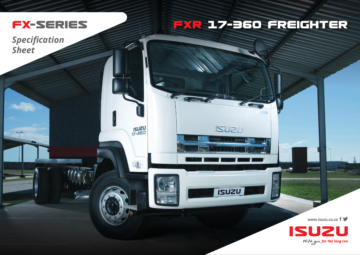

## **FXR 17-36O FREIGHTER**

50

**ISUZU** 

**ISUZU** 

**ISUZU**<br>17-360

*Specification Sheet*

**www.isuzu.co.za**